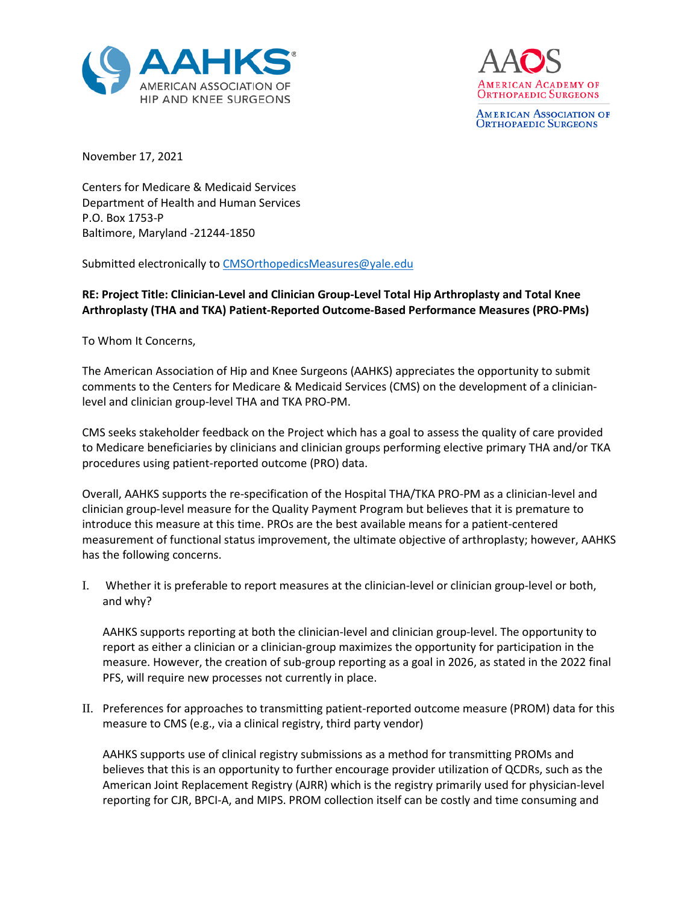



**AMERICAN ASSOCIATION OF ORTHOPAEDIC SURGEONS** 

November 17, 2021

Centers for Medicare & Medicaid Services Department of Health and Human Services P.O. Box 1753-P Baltimore, Maryland -21244-1850

Submitted electronically to [CMSOrthopedicsMeasures@yale.edu](mailto:CMSOrthopedicsMeasures@yale.edu)

## **RE: Project Title: Clinician-Level and Clinician Group-Level Total Hip Arthroplasty and Total Knee Arthroplasty (THA and TKA) Patient-Reported Outcome-Based Performance Measures (PRO-PMs)**

To Whom It Concerns,

The American Association of Hip and Knee Surgeons (AAHKS) appreciates the opportunity to submit comments to the Centers for Medicare & Medicaid Services (CMS) on the development of a clinicianlevel and clinician group-level THA and TKA PRO-PM.

CMS seeks stakeholder feedback on the Project which has a goal to assess the quality of care provided to Medicare beneficiaries by clinicians and clinician groups performing elective primary THA and/or TKA procedures using patient-reported outcome (PRO) data.

Overall, AAHKS supports the re-specification of the Hospital THA/TKA PRO-PM as a clinician-level and clinician group-level measure for the Quality Payment Program but believes that it is premature to introduce this measure at this time. PROs are the best available means for a patient-centered measurement of functional status improvement, the ultimate objective of arthroplasty; however, AAHKS has the following concerns.

I. Whether it is preferable to report measures at the clinician-level or clinician group-level or both, and why?

AAHKS supports reporting at both the clinician-level and clinician group-level. The opportunity to report as either a clinician or a clinician-group maximizes the opportunity for participation in the measure. However, the creation of sub-group reporting as a goal in 2026, as stated in the 2022 final PFS, will require new processes not currently in place.

II. Preferences for approaches to transmitting patient-reported outcome measure (PROM) data for this measure to CMS (e.g., via a clinical registry, third party vendor)

AAHKS supports use of clinical registry submissions as a method for transmitting PROMs and believes that this is an opportunity to further encourage provider utilization of QCDRs, such as the American Joint Replacement Registry (AJRR) which is the registry primarily used for physician-level reporting for CJR, BPCI-A, and MIPS. PROM collection itself can be costly and time consuming and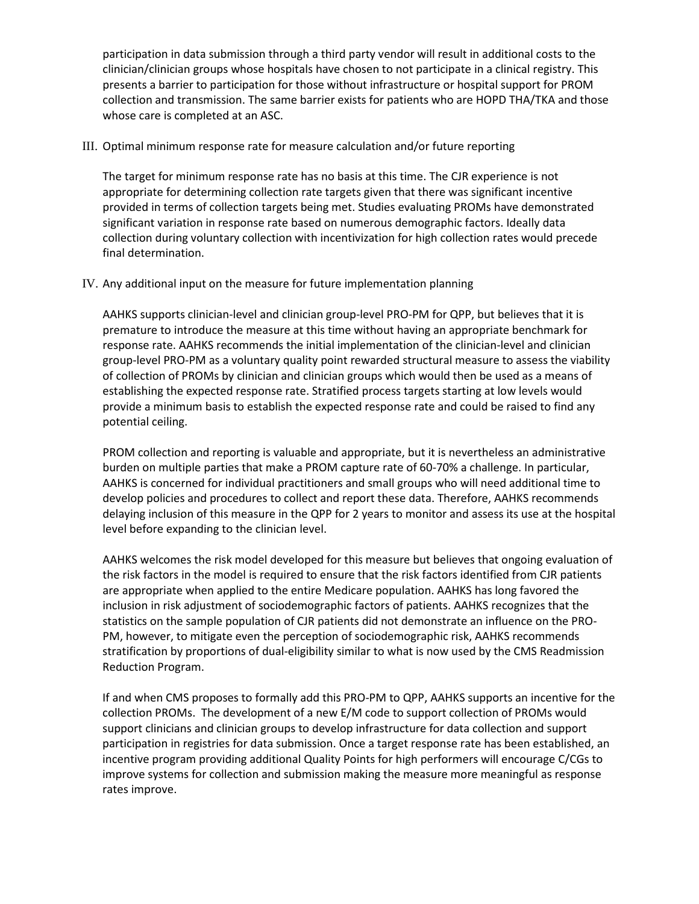participation in data submission through a third party vendor will result in additional costs to the clinician/clinician groups whose hospitals have chosen to not participate in a clinical registry. This presents a barrier to participation for those without infrastructure or hospital support for PROM collection and transmission. The same barrier exists for patients who are HOPD THA/TKA and those whose care is completed at an ASC.

## III. Optimal minimum response rate for measure calculation and/or future reporting

The target for minimum response rate has no basis at this time. The CJR experience is not appropriate for determining collection rate targets given that there was significant incentive provided in terms of collection targets being met. Studies evaluating PROMs have demonstrated significant variation in response rate based on numerous demographic factors. Ideally data collection during voluntary collection with incentivization for high collection rates would precede final determination.

## IV. Any additional input on the measure for future implementation planning

AAHKS supports clinician-level and clinician group-level PRO-PM for QPP, but believes that it is premature to introduce the measure at this time without having an appropriate benchmark for response rate. AAHKS recommends the initial implementation of the clinician-level and clinician group-level PRO-PM as a voluntary quality point rewarded structural measure to assess the viability of collection of PROMs by clinician and clinician groups which would then be used as a means of establishing the expected response rate. Stratified process targets starting at low levels would provide a minimum basis to establish the expected response rate and could be raised to find any potential ceiling.

PROM collection and reporting is valuable and appropriate, but it is nevertheless an administrative burden on multiple parties that make a PROM capture rate of 60-70% a challenge. In particular, AAHKS is concerned for individual practitioners and small groups who will need additional time to develop policies and procedures to collect and report these data. Therefore, AAHKS recommends delaying inclusion of this measure in the QPP for 2 years to monitor and assess its use at the hospital level before expanding to the clinician level.

AAHKS welcomes the risk model developed for this measure but believes that ongoing evaluation of the risk factors in the model is required to ensure that the risk factors identified from CJR patients are appropriate when applied to the entire Medicare population. AAHKS has long favored the inclusion in risk adjustment of sociodemographic factors of patients. AAHKS recognizes that the statistics on the sample population of CJR patients did not demonstrate an influence on the PRO-PM, however, to mitigate even the perception of sociodemographic risk, AAHKS recommends stratification by proportions of dual-eligibility similar to what is now used by the CMS Readmission Reduction Program.

If and when CMS proposes to formally add this PRO-PM to QPP, AAHKS supports an incentive for the collection PROMs. The development of a new E/M code to support collection of PROMs would support clinicians and clinician groups to develop infrastructure for data collection and support participation in registries for data submission. Once a target response rate has been established, an incentive program providing additional Quality Points for high performers will encourage C/CGs to improve systems for collection and submission making the measure more meaningful as response rates improve.